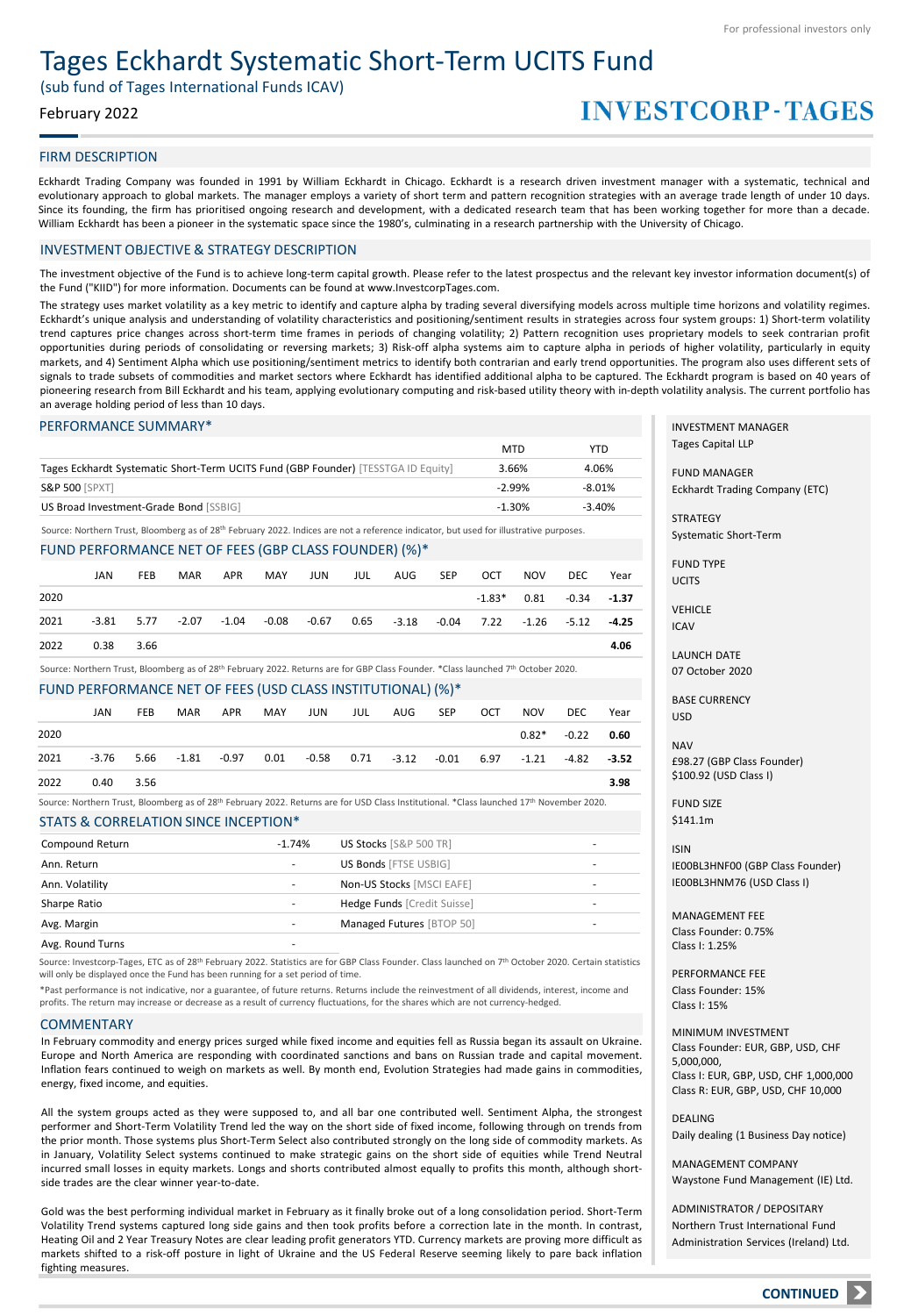# Tages Eckhardt Systematic Short-Term UCITS Fund

(sub fund of Tages International Funds ICAV)

### February 2022

# **INVESTCORP-TAGES**

#### FIRM DESCRIPTION

Eckhardt Trading Company was founded in 1991 by William Eckhardt in Chicago. Eckhardt is a research driven investment manager with a systematic, technical and evolutionary approach to global markets. The manager employs a variety of short term and pattern recognition strategies with an average trade length of under 10 days. Since its founding, the firm has prioritised ongoing research and development, with a dedicated research team that has been working together for more than a decade. William Eckhardt has been a pioneer in the systematic space since the 1980's, culminating in a research partnership with the University of Chicago.

#### INVESTMENT OBJECTIVE & STRATEGY DESCRIPTION

The investment objective of the Fund is to achieve long-term capital growth. Please refer to the latest prospectus and the relevant key investor information document(s) of the Fund ("KIID") for more information. Documents can be found at www.InvestcorpTages.com.

The strategy uses market volatility as a key metric to identify and capture alpha by trading several diversifying models across multiple time horizons and volatility regimes. Eckhardt's unique analysis and understanding of volatility characteristics and positioning/sentiment results in strategies across four system groups: 1) Short-term volatility trend captures price changes across short-term time frames in periods of changing volatility; 2) Pattern recognition uses proprietary models to seek contrarian profit opportunities during periods of consolidating or reversing markets; 3) Risk-off alpha systems aim to capture alpha in periods of higher volatility, particularly in equity markets, and 4) Sentiment Alpha which use positioning/sentiment metrics to identify both contrarian and early trend opportunities. The program also uses different sets of signals to trade subsets of commodities and market sectors where Eckhardt has identified additional alpha to be captured. The Eckhardt program is based on 40 years of pioneering research from Bill Eckhardt and his team, applying evolutionary computing and risk-based utility theory with in-depth volatility analysis. The current portfolio has an average holding period of less than 10 days.

#### PERFORMANCE SUMMARY\*

|                                                                                   | <b>MTD</b> | YTD      |
|-----------------------------------------------------------------------------------|------------|----------|
| Tages Eckhardt Systematic Short-Term UCITS Fund (GBP Founder) [TESSTGA ID Equity] | 3.66%      | 4.06%    |
| <b>S&amp;P 500 [SPXT]</b>                                                         | $-2.99%$   | $-8.01%$ |
| US Broad Investment-Grade Bond [SSBIG]                                            | $-1.30%$   | $-3.40%$ |

Source: Northern Trust, Bloomberg as of 28<sup>th</sup> February 2022. Indices are not a reference indicator, but used for illustrative purposes.

#### FUND PERFORMANCE NET OF FEES (GBP CLASS FOUNDER) (%)\*

|      | JAN  | FEB  | <b>MAR</b> | APR | MAY | JUN | JUL | AUG | SEP | OCT                                                                                                  | NOV | DEC.                        | Year |
|------|------|------|------------|-----|-----|-----|-----|-----|-----|------------------------------------------------------------------------------------------------------|-----|-----------------------------|------|
| 2020 |      |      |            |     |     |     |     |     |     |                                                                                                      |     | $-1.83*$ 0.81 $-0.34$ -1.37 |      |
| 2021 |      |      |            |     |     |     |     |     |     | $-3.81$ $5.77$ $-2.07$ $-1.04$ $-0.08$ $-0.67$ $0.65$ $-3.18$ $-0.04$ $7.22$ $-1.26$ $-5.12$ $-4.25$ |     |                             |      |
| 2022 | 0.38 | 3.66 |            |     |     |     |     |     |     |                                                                                                      |     |                             | 4.06 |

Source: Northern Trust, Bloomberg as of 28<sup>th</sup> February 2022. Returns are for GBP Class Founder. \*Class launched 7<sup>th</sup> October 2020.

#### FUND PERFORMANCE NET OF FEES (USD CLASS INSTITUTIONAL) (%)\*

|      | JAN  | <b>FEB</b> | <b>MAR</b> | APR                               | MAY | JUN | JUL | AUG | SEP | OCT | NOV                                    | DEC.                | Year |
|------|------|------------|------------|-----------------------------------|-----|-----|-----|-----|-----|-----|----------------------------------------|---------------------|------|
| 2020 |      |            |            |                                   |     |     |     |     |     |     |                                        | $0.82^*$ -0.22 0.60 |      |
| 2021 |      |            |            | $-3.76$ 5.66 $-1.81$ $-0.97$ 0.01 |     |     |     |     |     |     | -0.58  0.71  -3.12  -0.01  6.97  -1.21 | $-4.82$ $-3.52$     |      |
| 2022 | 0.40 | 3.56       |            |                                   |     |     |     |     |     |     |                                        |                     | 3.98 |

STATS & CORRELATION SINCE INCEPTION\* Source: Northern Trust, Bloomberg as of 28<sup>th</sup> February 2022, Returns are for USD Class Institutional. \*Class launched 17<sup>th</sup> November 2020.

| Compound Return | $-1.74%$ | US Stocks [S&P 500 TR]       | -              |
|-----------------|----------|------------------------------|----------------|
| Ann. Return     |          | <b>US Bonds [FTSE USBIG]</b> | -              |
| Ann. Volatility | ۰        | Non-US Stocks [MSCI EAFE]    | -              |
| Sharpe Ratio    | -        | Hedge Funds [Credit Suisse]  | -              |
| Avg. Margin     | ۰.       | Managed Futures [BTOP 50]    | $\blacksquare$ |
|                 |          |                              |                |

Avg. Round Turns

Source: Investcorp-Tages, ETC as of 28<sup>th</sup> February 2022. Statistics are for GBP Class Founder. Class launched on 7<sup>th</sup> October 2020. Certain statistics will only be displayed once the Fund has been running for a set period of time.

\*Past performance is not indicative, nor a guarantee, of future returns. Returns include the reinvestment of all dividends, interest, income and profits. The return may increase or decrease as a result of currency fluctuations, for the shares which are not currency-hedged.

#### **COMMENTARY**

In February commodity and energy prices surged while fixed income and equities fell as Russia began its assault on Ukraine. Europe and North America are responding with coordinated sanctions and bans on Russian trade and capital movement. Inflation fears continued to weigh on markets as well. By month end, Evolution Strategies had made gains in commodities, energy, fixed income, and equities.

All the system groups acted as they were supposed to, and all bar one contributed well. Sentiment Alpha, the strongest performer and Short-Term Volatility Trend led the way on the short side of fixed income, following through on trends from the prior month. Those systems plus Short-Term Select also contributed strongly on the long side of commodity markets. As in January, Volatility Select systems continued to make strategic gains on the short side of equities while Trend Neutral incurred small losses in equity markets. Longs and shorts contributed almost equally to profits this month, although shortside trades are the clear winner year-to-date.

Gold was the best performing individual market in February as it finally broke out of a long consolidation period. Short-Term Volatility Trend systems captured long side gains and then took profits before a correction late in the month. In contrast, Heating Oil and 2 Year Treasury Notes are clear leading profit generators YTD. Currency markets are proving more difficult as markets shifted to a risk-off posture in light of Ukraine and the US Federal Reserve seeming likely to pare back inflation fighting measures.

INVESTMENT MANAGER Tages Capital LLP

FUND MANAGER Eckhardt Trading Company (ETC)

**STRATEGY** Systematic Short-Term

FUND TYPE UCITS

VEHICLE ICAV

LAUNCH DATE

07 October 2020

BASE CURRENCY USD

**NAV** £98.27 (GBP Class Founder) \$100.92 (USD Class I)

FUND SIZE \$141.1m

ISIN IE00BL3HNF00 (GBP Class Founder) IE00BL3HNM76 (USD Class I)

MANAGEMENT FEE Class Founder: 0.75% Class I: 1.25%

PERFORMANCE FEE Class Founder: 15% Class I: 15%

MINIMUM INVESTMENT Class Founder: EUR, GBP, USD, CHF 5,000,000, Class I: EUR, GBP, USD, CHF 1,000,000 Class R: EUR, GBP, USD, CHF 10,000

DEALING Daily dealing (1 Business Day notice)

MANAGEMENT COMPANY Waystone Fund Management (IE) Ltd.

ADMINISTRATOR / DEPOSITARY Northern Trust International Fund Administration Services (Ireland) Ltd.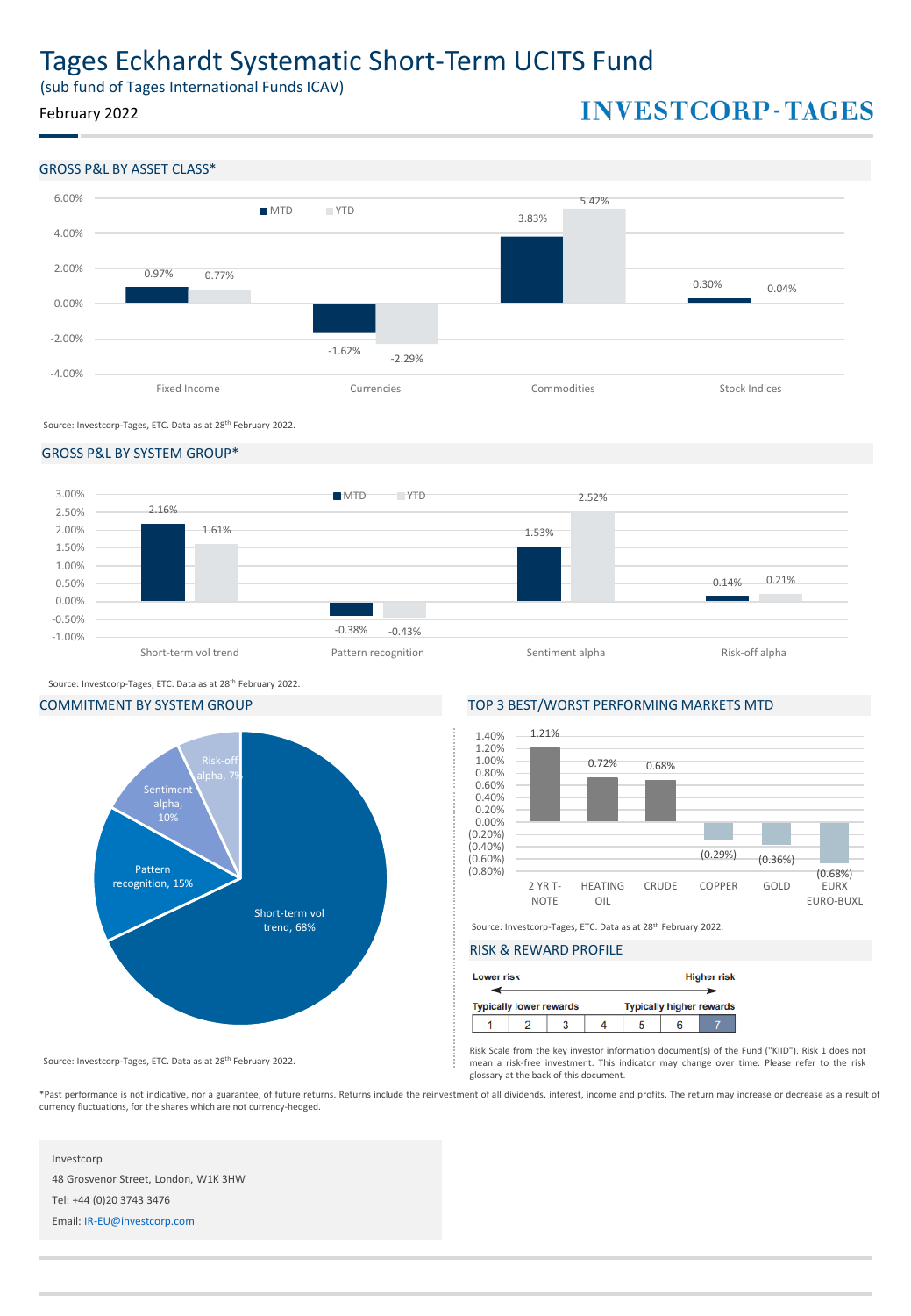# Tages Eckhardt Systematic Short-Term UCITS Fund

(sub fund of Tages International Funds ICAV)

## February 2022

# **INVESTCORP-TAGES**





Source: Investcorp-Tages, ETC. Data as at 28th February 2022.

# GROSS P&L BY SYSTEM GROUP\*



Source: Investcorp-Tages, ETC. Data as at 28th February 2022.



# COMMITMENT BY SYSTEM GROUP TOP 3 BEST/WORST PERFORMING MARKETS MTD



Source: Investcorp-Tages, ETC. Data as at 28th February 2022.

# RISK & REWARD PROFILE

| <b>Lower risk</b> |                                |  |                                 | <b>Higher risk</b> |  |  |  |
|-------------------|--------------------------------|--|---------------------------------|--------------------|--|--|--|
|                   |                                |  |                                 |                    |  |  |  |
|                   | <b>Typically lower rewards</b> |  | <b>Typically higher rewards</b> |                    |  |  |  |
|                   |                                |  |                                 |                    |  |  |  |

Risk Scale from the key investor information document(s) of the Fund ("KIID"). Risk 1 does not mean a risk-free investment. This indicator may change over time. Please refer to the risk glossary at the back of this document.

\*Past performance is not indicative, nor a guarantee, of future returns. Returns include the reinvestment of all dividends, interest, income and profits. The return may increase or decrease as a result of currency fluctuations, for the shares which are not currency-hedged. 

#### Investcorp

48 Grosvenor Street, London, W1K 3HW

Source: Investcorp-Tages, ETC. Data as at 28<sup>th</sup> February 2022.

Tel: +44 (0)20 3743 3476 Email: [IR-EU@investcorp.com](mailto:IR-EU@investcorp.com)